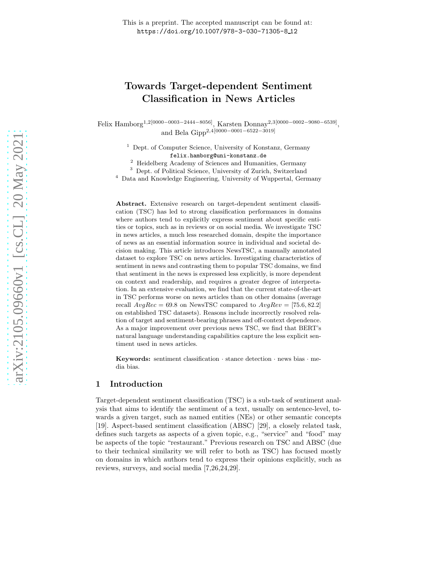# Towards Target-dependent Sentiment Classification in News Articles

Felix Hamborg1,2[0000−0003−2444−8056], Karsten Donnay2,3[0000−0002−9080−6539] , and Bela Gipp2,4[0000−0001−6522−3019]

> <sup>1</sup> Dept. of Computer Science, University of Konstanz, Germany felix.hamborg@uni-konstanz.de

<sup>2</sup> Heidelberg Academy of Sciences and Humanities, Germany

<sup>3</sup> Dept. of Political Science, University of Zurich, Switzerland

<sup>4</sup> Data and Knowledge Engineering, University of Wuppertal, Germany

Abstract. Extensive research on target-dependent sentiment classification (TSC) has led to strong classification performances in domains where authors tend to explicitly express sentiment about specific entities or topics, such as in reviews or on social media. We investigate TSC in news articles, a much less researched domain, despite the importance of news as an essential information source in individual and societal decision making. This article introduces NewsTSC, a manually annotated dataset to explore TSC on news articles. Investigating characteristics of sentiment in news and contrasting them to popular TSC domains, we find that sentiment in the news is expressed less explicitly, is more dependent on context and readership, and requires a greater degree of interpretation. In an extensive evaluation, we find that the current state-of-the-art in TSC performs worse on news articles than on other domains (average recall  $AvgRec = 69.8$  on NewsTSC compared to  $AvgRev = [75.6, 82.2]$ on established TSC datasets). Reasons include incorrectly resolved relation of target and sentiment-bearing phrases and off-context dependence. As a major improvement over previous news TSC, we find that BERT's natural language understanding capabilities capture the less explicit sentiment used in news articles.

Keywords: sentiment classification · stance detection · news bias · media bias.

# 1 Introduction

Target-dependent sentiment classification (TSC) is a sub-task of sentiment analysis that aims to identify the sentiment of a text, usually on sentence-level, towards a given target, such as named entities (NEs) or other semantic concepts [\[19\]](#page-8-0). Aspect-based sentiment classification (ABSC) [\[29\]](#page-9-0), a closely related task, defines such targets as aspects of a given topic, e.g., "service" and "food" may be aspects of the topic "restaurant." Previous research on TSC and ABSC (due to their technical similarity we will refer to both as TSC) has focused mostly on domains in which authors tend to express their opinions explicitly, such as reviews, surveys, and social media [\[7](#page-7-0)[,26](#page-9-1)[,24](#page-9-2)[,29\]](#page-9-0).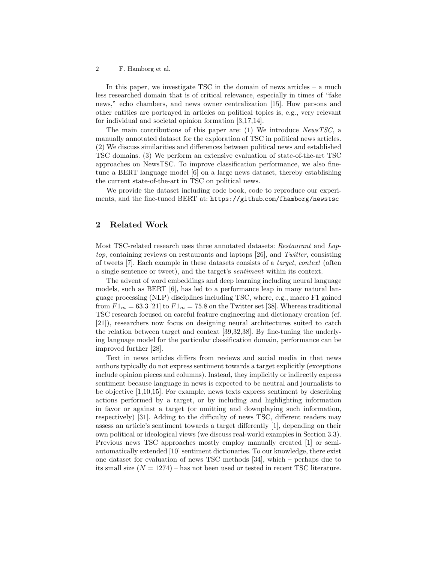#### 2 F. Hamborg et al.

In this paper, we investigate TSC in the domain of news articles  $-$  a much less researched domain that is of critical relevance, especially in times of "fake news," echo chambers, and news owner centralization [\[15\]](#page-8-1). How persons and other entities are portrayed in articles on political topics is, e.g., very relevant for individual and societal opinion formation [\[3,](#page-7-1)[17,](#page-8-2)[14\]](#page-8-3).

The main contributions of this paper are: (1) We introduce  $NewsTSC$ , a manually annotated dataset for the exploration of TSC in political news articles. (2) We discuss similarities and differences between political news and established TSC domains. (3) We perform an extensive evaluation of state-of-the-art TSC approaches on NewsTSC. To improve classification performance, we also finetune a BERT language model [\[6\]](#page-7-2) on a large news dataset, thereby establishing the current state-of-the-art in TSC on political news.

We provide the dataset including code book, code to reproduce our experiments, and the fine-tuned BERT at: https://github.[com/fhamborg/newstsc](https://github.com/fhamborg/newstsc)

# <span id="page-1-0"></span>2 Related Work

Most TSC-related research uses three annotated datasets: Restaurant and Laptop, containing reviews on restaurants and laptops [\[26\]](#page-9-1), and Twitter, consisting of tweets [\[7\]](#page-7-0). Each example in these datasets consists of a target, context (often a single sentence or tweet), and the target's sentiment within its context.

The advent of word embeddings and deep learning including neural language models, such as BERT [\[6\]](#page-7-2), has led to a performance leap in many natural language processing (NLP) disciplines including TSC, where, e.g., macro F1 gained from  $F1_m = 63.3$  [\[21\]](#page-8-4) to  $F1_m = 75.8$  on the Twitter set [\[38\]](#page-10-0). Whereas traditional TSC research focused on careful feature engineering and dictionary creation (cf. [\[21\]](#page-8-4)), researchers now focus on designing neural architectures suited to catch the relation between target and context [\[39](#page-10-1)[,32](#page-9-3)[,38\]](#page-10-0). By fine-tuning the underlying language model for the particular classification domain, performance can be improved further [\[28\]](#page-9-4).

Text in news articles differs from reviews and social media in that news authors typically do not express sentiment towards a target explicitly (exceptions include opinion pieces and columns). Instead, they implicitly or indirectly express sentiment because language in news is expected to be neutral and journalists to be objective [\[1](#page-7-3)[,10](#page-8-5)[,15\]](#page-8-1). For example, news texts express sentiment by describing actions performed by a target, or by including and highlighting information in favor or against a target (or omitting and downplaying such information, respectively) [\[31\]](#page-9-5). Adding to the difficulty of news TSC, different readers may assess an article's sentiment towards a target differently [\[1\]](#page-7-3), depending on their own political or ideological views (we discuss real-world examples in Section [3.3\)](#page-4-0). Previous news TSC approaches mostly employ manually created [\[1\]](#page-7-3) or semiautomatically extended [\[10\]](#page-8-5) sentiment dictionaries. To our knowledge, there exist one dataset for evaluation of news TSC methods [\[34\]](#page-9-6), which – perhaps due to its small size  $(N = 1274)$  – has not been used or tested in recent TSC literature.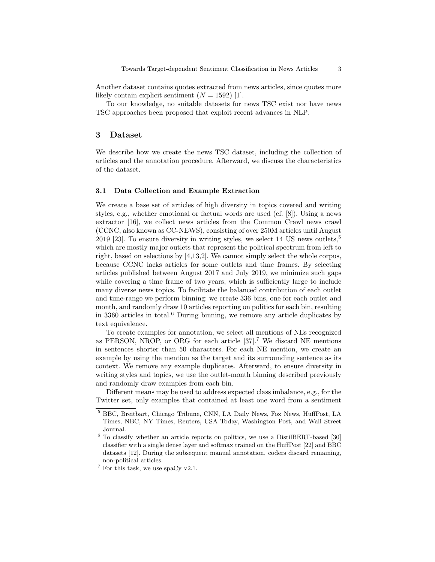Another dataset contains quotes extracted from news articles, since quotes more likely contain explicit sentiment  $(N = 1592)$  [\[1\]](#page-7-3).

To our knowledge, no suitable datasets for news TSC exist nor have news TSC approaches been proposed that exploit recent advances in NLP.

# 3 Dataset

We describe how we create the news TSC dataset, including the collection of articles and the annotation procedure. Afterward, we discuss the characteristics of the dataset.

#### 3.1 Data Collection and Example Extraction

We create a base set of articles of high diversity in topics covered and writing styles, e.g., whether emotional or factual words are used (cf. [\[8\]](#page-8-6)). Using a news extractor [\[16\]](#page-8-7), we collect news articles from the Common Crawl news crawl (CCNC, also known as CC-NEWS), consisting of over 250M articles until August 2019 [\[23\]](#page-9-7). To ensure diversity in writing styles, we select 14 US news outlets,<sup>[5](#page-2-0)</sup> which are mostly major outlets that represent the political spectrum from left to right, based on selections by [\[4,](#page-7-4)[13,](#page-8-8)[2\]](#page-7-5). We cannot simply select the whole corpus, because CCNC lacks articles for some outlets and time frames. By selecting articles published between August 2017 and July 2019, we minimize such gaps while covering a time frame of two years, which is sufficiently large to include many diverse news topics. To facilitate the balanced contribution of each outlet and time-range we perform binning: we create 336 bins, one for each outlet and month, and randomly draw 10 articles reporting on politics for each bin, resulting in 3360 articles in total.[6](#page-2-1) During binning, we remove any article duplicates by text equivalence.

To create examples for annotation, we select all mentions of NEs recognized as PERSON, NROP, or ORG for each article [\[37\]](#page-10-2).[7](#page-2-2) We discard NE mentions in sentences shorter than 50 characters. For each NE mention, we create an example by using the mention as the target and its surrounding sentence as its context. We remove any example duplicates. Afterward, to ensure diversity in writing styles and topics, we use the outlet-month binning described previously and randomly draw examples from each bin.

Different means may be used to address expected class imbalance, e.g., for the Twitter set, only examples that contained at least one word from a sentiment

<span id="page-2-0"></span><sup>&</sup>lt;sup>5</sup> BBC, Breitbart, Chicago Tribune, CNN, LA Daily News, Fox News, HuffPost, LA Times, NBC, NY Times, Reuters, USA Today, Washington Post, and Wall Street Journal.

<span id="page-2-1"></span> $^6$  To classify whether an article reports on politics, we use a DistilBERT-based  $\left[30\right]$ classifier with a single dense layer and softmax trained on the HuffPost [\[22\]](#page-9-9) and BBC datasets [\[12\]](#page-8-9). During the subsequent manual annotation, coders discard remaining, non-political articles.

<span id="page-2-2"></span> $7$  For this task, we use spaCy v2.1.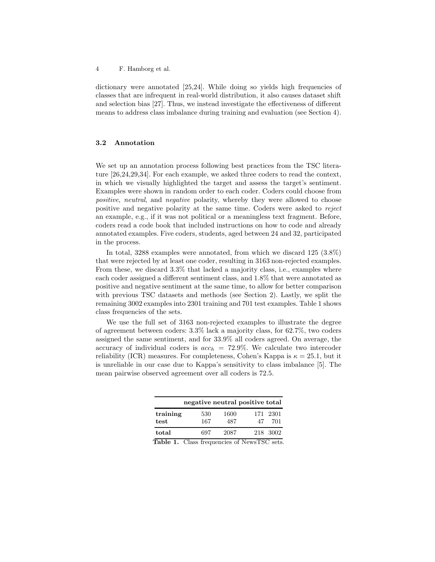dictionary were annotated [\[25,](#page-9-10)[24\]](#page-9-2). While doing so yields high frequencies of classes that are infrequent in real-world distribution, it also causes dataset shift and selection bias [\[27\]](#page-9-11). Thus, we instead investigate the effectiveness of different means to address class imbalance during training and evaluation (see Section [4\)](#page-5-0).

## <span id="page-3-1"></span>3.2 Annotation

We set up an annotation process following best practices from the TSC literature [\[26](#page-9-1)[,24](#page-9-2)[,29,](#page-9-0)[34\]](#page-9-6). For each example, we asked three coders to read the context, in which we visually highlighted the target and assess the target's sentiment. Examples were shown in random order to each coder. Coders could choose from positive, neutral, and negative polarity, whereby they were allowed to choose positive and negative polarity at the same time. Coders were asked to reject an example, e.g., if it was not political or a meaningless text fragment. Before, coders read a code book that included instructions on how to code and already annotated examples. Five coders, students, aged between 24 and 32, participated in the process.

In total, 3288 examples were annotated, from which we discard 125 (3.8%) that were rejected by at least one coder, resulting in 3163 non-rejected examples. From these, we discard 3.3% that lacked a majority class, i.e., examples where each coder assigned a different sentiment class, and 1.8% that were annotated as positive and negative sentiment at the same time, to allow for better comparison with previous TSC datasets and methods (see Section [2\)](#page-1-0). Lastly, we split the remaining 3002 examples into 2301 training and 701 test examples. Table [1](#page-3-0) shows class frequencies of the sets.

We use the full set of 3163 non-rejected examples to illustrate the degree of agreement between coders: 3.3% lack a majority class, for 62.7%, two coders assigned the same sentiment, and for 33.9% all coders agreed. On average, the accuracy of individual coders is  $acc<sub>h</sub> = 72.9\%$ . We calculate two intercoder reliability (ICR) measures. For completeness, Cohen's Kappa is  $\kappa = 25.1$ , but it is unreliable in our case due to Kappa's sensitivity to class imbalance [\[5\]](#page-7-6). The mean pairwise observed agreement over all coders is 72.5.

|                  | negative neutral positive total |             |    |                 |
|------------------|---------------------------------|-------------|----|-----------------|
| training<br>test | 530<br>167                      | 1600<br>487 | 47 | 171 2301<br>701 |
| total            | 697                             | 2087        |    | 218 3002        |

<span id="page-3-0"></span>Table 1. Class frequencies of NewsTSC sets.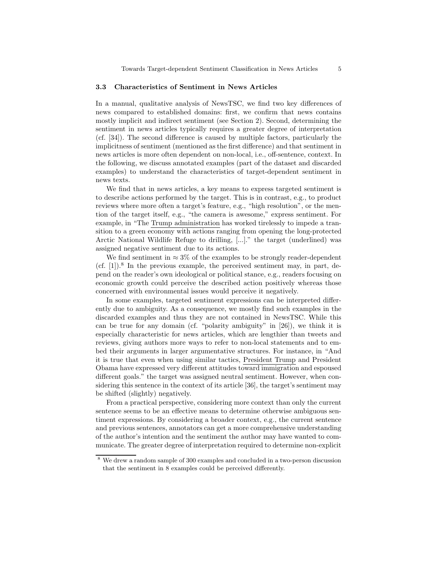#### <span id="page-4-0"></span>3.3 Characteristics of Sentiment in News Articles

In a manual, qualitative analysis of NewsTSC, we find two key differences of news compared to established domains: first, we confirm that news contains mostly implicit and indirect sentiment (see Section [2\)](#page-1-0). Second, determining the sentiment in news articles typically requires a greater degree of interpretation (cf. [\[34\]](#page-9-6)). The second difference is caused by multiple factors, particularly the implicitness of sentiment (mentioned as the first difference) and that sentiment in news articles is more often dependent on non-local, i.e., off-sentence, context. In the following, we discuss annotated examples (part of the dataset and discarded examples) to understand the characteristics of target-dependent sentiment in news texts.

We find that in news articles, a key means to express targeted sentiment is to describe actions performed by the target. This is in contrast, e.g., to product reviews where more often a target's feature, e.g., "high resolution", or the mention of the target itself, e.g., "the camera is awesome," express sentiment. For example, in "The Trump administration has worked tirelessly to impede a transition to a green economy with actions ranging from opening the long-protected Arctic National Wildlife Refuge to drilling, [...]." the target (underlined) was assigned negative sentiment due to its actions.

We find sentiment in  $\approx 3\%$  of the examples to be strongly reader-dependent  $(cf. [1])$  $(cf. [1])$  $(cf. [1])$ .<sup>[8](#page-4-1)</sup> In the previous example, the perceived sentiment may, in part, depend on the reader's own ideological or political stance, e.g., readers focusing on economic growth could perceive the described action positively whereas those concerned with environmental issues would perceive it negatively.

In some examples, targeted sentiment expressions can be interpreted differently due to ambiguity. As a consequence, we mostly find such examples in the discarded examples and thus they are not contained in NewsTSC. While this can be true for any domain (cf. "polarity ambiguity" in [\[26\]](#page-9-1)), we think it is especially characteristic for news articles, which are lengthier than tweets and reviews, giving authors more ways to refer to non-local statements and to embed their arguments in larger argumentative structures. For instance, in "And it is true that even when using similar tactics, President Trump and President Obama have expressed very different attitudes toward immigration and espoused different goals." the target was assigned neutral sentiment. However, when considering this sentence in the context of its article [\[36\]](#page-10-3), the target's sentiment may be shifted (slightly) negatively.

From a practical perspective, considering more context than only the current sentence seems to be an effective means to determine otherwise ambiguous sentiment expressions. By considering a broader context, e.g., the current sentence and previous sentences, annotators can get a more comprehensive understanding of the author's intention and the sentiment the author may have wanted to communicate. The greater degree of interpretation required to determine non-explicit

<span id="page-4-1"></span><sup>8</sup> We drew a random sample of 300 examples and concluded in a two-person discussion that the sentiment in 8 examples could be perceived differently.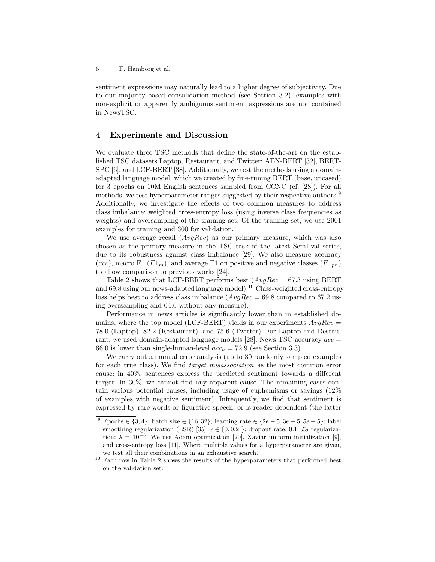6 F. Hamborg et al.

sentiment expressions may naturally lead to a higher degree of subjectivity. Due to our majority-based consolidation method (see Section [3.2\)](#page-3-1), examples with non-explicit or apparently ambiguous sentiment expressions are not contained in NewsTSC.

# <span id="page-5-0"></span>4 Experiments and Discussion

We evaluate three TSC methods that define the state-of-the-art on the established TSC datasets Laptop, Restaurant, and Twitter: AEN-BERT [\[32\]](#page-9-3), BERT-SPC [\[6\]](#page-7-2), and LCF-BERT [\[38\]](#page-10-0). Additionally, we test the methods using a domainadapted language model, which we created by fine-tuning BERT (base, uncased) for 3 epochs on 10M English sentences sampled from CCNC (cf. [\[28\]](#page-9-4)). For all methods, we test hyperparameter ranges suggested by their respective authors.<sup>[9](#page-5-1)</sup> Additionally, we investigate the effects of two common measures to address class imbalance: weighted cross-entropy loss (using inverse class frequencies as weights) and oversampling of the training set. Of the training set, we use 2001 examples for training and 300 for validation.

We use average recall  $(AvgRec)$  as our primary measure, which was also chosen as the primary measure in the TSC task of the latest SemEval series, due to its robustness against class imbalance [\[29\]](#page-9-0). We also measure accuracy (acc), macro F1 ( $F1_m$ ), and average F1 on positive and negative classes ( $F1_{pn}$ ) to allow comparison to previous works [\[24\]](#page-9-2).

Table [2](#page-6-0) shows that LCF-BERT performs best  $(AvgRec = 67.3$  using BERT and 69.8 using our news-adapted language model).<sup>[10](#page-5-2)</sup> Class-weighted cross-entropy loss helps best to address class imbalance  $(AvgRec = 69.8$  compared to 67.2 using oversampling and 64.6 without any measure).

Performance in news articles is significantly lower than in established domains, where the top model (LCF-BERT) yields in our experiments  $AvgRev =$ 78.0 (Laptop), 82.2 (Restaurant), and 75.6 (Twitter). For Laptop and Restau-rant, we used domain-adapted language models [\[28\]](#page-9-4). News TSC accuracy  $acc =$ 66.0 is lower than single-human-level  $acc_h = 72.9$  (see Section [3.3\)](#page-4-0).

We carry out a manual error analysis (up to 30 randomly sampled examples for each true class). We find target misassociation as the most common error cause: in 40%, sentences express the predicted sentiment towards a different target. In 30%, we cannot find any apparent cause. The remaining cases contain various potential causes, including usage of euphemisms or sayings (12% of examples with negative sentiment). Infrequently, we find that sentiment is expressed by rare words or figurative speech, or is reader-dependent (the latter

<span id="page-5-1"></span><sup>&</sup>lt;sup>9</sup> Epochs ∈ {3, 4}; batch size ∈ {16, 32}; learning rate ∈ {2e – 5, 3e – 5, 5e – 5}; label smoothing regularization (LSR) [\[35\]](#page-9-12):  $\epsilon \in \{0, 0.2\}$ ; dropout rate: 0.1;  $\mathcal{L}_2$  regularization:  $\lambda = 10^{-5}$ . We use Adam optimization [\[20\]](#page-8-10), Xaviar uniform initialization [\[9\]](#page-8-11), and cross-entropy loss [\[11\]](#page-8-12). Where multiple values for a hyperparameter are given, we test all their combinations in an exhaustive search.

<span id="page-5-2"></span> $^{10}$  Each row in Table [2](#page-6-0) shows the results of the hyperparameters that performed best on the validation set.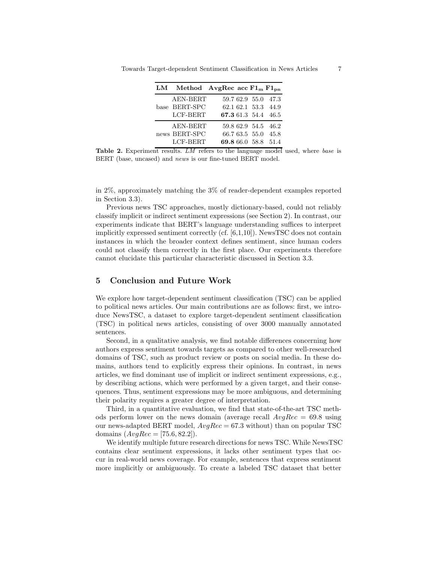|  | Towards Target-dependent Sentiment Classification in News Articles |  |  |  |  |  |
|--|--------------------------------------------------------------------|--|--|--|--|--|
|--|--------------------------------------------------------------------|--|--|--|--|--|

| LM Method AvgRec acc $F1_m F1_{pn}$          |  |                                                                   |
|----------------------------------------------|--|-------------------------------------------------------------------|
| AEN-BERT<br>base BERT-SPC<br>LCF-BERT        |  | 59.7 62.9 55.0 47.3<br>62.1 62.1 53.3 44.9<br>67.3 61.3 54.4 46.5 |
| AEN-BERT<br>news BERT-SPC<br><b>LCF-BERT</b> |  | 59.8 62.9 54.5 46.2<br>66.7 63.5 55.0 45.8<br>69.8 66.0 58.8 51.4 |

<span id="page-6-0"></span>Table 2. Experiment results. LM refers to the language model used, where base is BERT (base, uncased) and news is our fine-tuned BERT model.

in 2%, approximately matching the 3% of reader-dependent examples reported in Section [3.3\)](#page-4-0).

Previous news TSC approaches, mostly dictionary-based, could not reliably classify implicit or indirect sentiment expressions (see Section [2\)](#page-1-0). In contrast, our experiments indicate that BERT's language understanding suffices to interpret implicitly expressed sentiment correctly (cf. [\[6](#page-7-2)[,1,](#page-7-3)[10\]](#page-8-5)). NewsTSC does not contain instances in which the broader context defines sentiment, since human coders could not classify them correctly in the first place. Our experiments therefore cannot elucidate this particular characteristic discussed in Section [3.3.](#page-4-0)

## 5 Conclusion and Future Work

We explore how target-dependent sentiment classification (TSC) can be applied to political news articles. Our main contributions are as follows: first, we introduce NewsTSC, a dataset to explore target-dependent sentiment classification (TSC) in political news articles, consisting of over 3000 manually annotated sentences.

Second, in a qualitative analysis, we find notable differences concerning how authors express sentiment towards targets as compared to other well-researched domains of TSC, such as product review or posts on social media. In these domains, authors tend to explicitly express their opinions. In contrast, in news articles, we find dominant use of implicit or indirect sentiment expressions, e.g., by describing actions, which were performed by a given target, and their consequences. Thus, sentiment expressions may be more ambiguous, and determining their polarity requires a greater degree of interpretation.

Third, in a quantitative evaluation, we find that state-of-the-art TSC methods perform lower on the news domain (average recall  $AvgRec = 69.8$  using our news-adapted BERT model,  $AvgRec = 67.3$  without) than on popular TSC domains  $(AvqRec = [75.6, 82.2]).$ 

We identify multiple future research directions for news TSC. While NewsTSC contains clear sentiment expressions, it lacks other sentiment types that occur in real-world news coverage. For example, sentences that express sentiment more implicitly or ambiguously. To create a labeled TSC dataset that better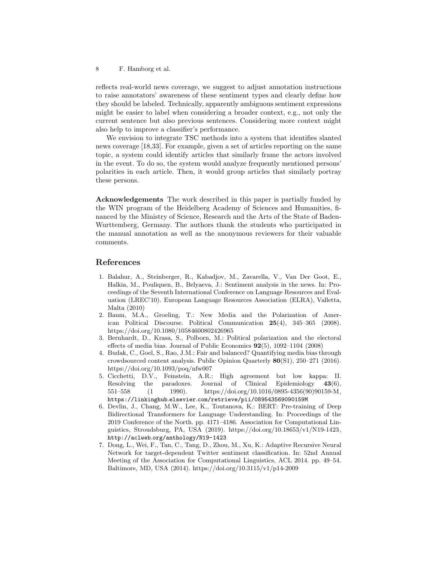reflects real-world news coverage, we suggest to adjust annotation instructions to raise annotators' awareness of these sentiment types and clearly define how they should be labeled. Technically, apparently ambiguous sentiment expressions might be easier to label when considering a broader context, e.g., not only the current sentence but also previous sentences. Considering more context might also help to improve a classifier's performance.

We envision to integrate TSC methods into a system that identifies slanted news coverage [\[18](#page-8-13)[,33\]](#page-9-13). For example, given a set of articles reporting on the same topic, a system could identify articles that similarly frame the actors involved in the event. To do so, the system would analyze frequently mentioned persons' polarities in each article. Then, it would group articles that similarly portray these persons.

Acknowledgements The work described in this paper is partially funded by the WIN program of the Heidelberg Academy of Sciences and Humanities, financed by the Ministry of Science, Research and the Arts of the State of Baden-Wurttemberg, Germany. The authors thank the students who participated in the manual annotation as well as the anonymous reviewers for their valuable comments.

### <span id="page-7-3"></span>References

- 1. Balahur, A., Steinberger, R., Kabadjov, M., Zavarella, V., Van Der Goot, E., Halkia, M., Pouliquen, B., Belyaeva, J.: Sentiment analysis in the news. In: Proceedings of the Seventh International Conference on Language Resources and Evaluation (LREC'10). European Language Resources Association (ELRA), Valletta, Malta (2010)
- <span id="page-7-5"></span>2. Baum, M.A., Groeling, T.: New Media and the Polarization of American Political Discourse. Political Communication 25(4), 345–365 (2008). <https://doi.org/10.1080/10584600802426965>
- <span id="page-7-1"></span>3. Bernhardt, D., Krasa, S., Polborn, M.: Political polarization and the electoral effects of media bias. Journal of Public Economics 92(5), 1092–1104 (2008)
- <span id="page-7-4"></span>4. Budak, C., Goel, S., Rao, J.M.: Fair and balanced? Quantifying media bias through crowdsourced content analysis. Public Opinion Quarterly 80(S1), 250–271 (2016). <https://doi.org/10.1093/poq/nfw007>
- <span id="page-7-6"></span>5. Cicchetti, D.V., Feinstein, A.R.: High agreement but low kappa: II. Resolving the paradoxes. Journal of Clinical Epidemiology 43(6), 551–558 (1 1990). [https://doi.org/10.1016/0895-4356\(90\)90159-M,](https://doi.org/10.1016/0895-4356(90)90159-M) https://linkinghub.elsevier.[com/retrieve/pii/089543569090159M](https://linkinghub.elsevier.com/retrieve/pii/089543569090159M)
- <span id="page-7-2"></span>6. Devlin, J., Chang, M.W., Lee, K., Toutanova, K.: BERT: Pre-training of Deep Bidirectional Transformers for Language Understanding. In: Proceedings of the 2019 Conference of the North. pp. 4171–4186. Association for Computational Linguistics, Stroudsburg, PA, USA (2019). [https://doi.org/10.18653/v1/N19-1423,](https://doi.org/10.18653/v1/N19-1423) http://aclweb.[org/anthology/N19-1423](http://aclweb.org/anthology/N19-1423)
- <span id="page-7-0"></span>7. Dong, L., Wei, F., Tan, C., Tang, D., Zhou, M., Xu, K.: Adaptive Recursive Neural Network for target-dependent Twitter sentiment classification. In: 52nd Annual Meeting of the Association for Computational Linguistics, ACL 2014. pp. 49–54. Baltimore, MD, USA (2014).<https://doi.org/10.3115/v1/p14-2009>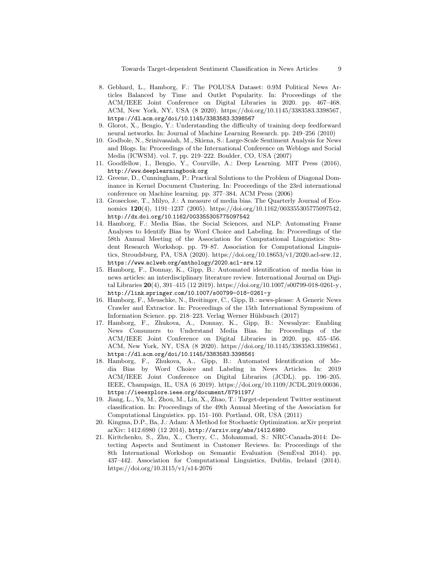- <span id="page-8-6"></span>8. Gebhard, L., Hamborg, F.: The POLUSA Dataset: 0.9M Political News Articles Balanced by Time and Outlet Popularity. In: Proceedings of the ACM/IEEE Joint Conference on Digital Libraries in 2020. pp. 467–468. ACM, New York, NY, USA (8 2020). [https://doi.org/10.1145/3383583.3398567,](https://doi.org/10.1145/3383583.3398567) https://dl.acm.org/doi/10.[1145/3383583](https://dl.acm.org/doi/10.1145/3383583.3398567).3398567
- <span id="page-8-11"></span>9. Glorot, X., Bengio, Y.: Understanding the difficulty of training deep feedforward neural networks. In: Journal of Machine Learning Research. pp. 249–256 (2010)
- <span id="page-8-5"></span>10. Godbole, N., Srinivasaiah, M., Skiena, S.: Large-Scale Sentiment Analysis for News and Blogs. In: Proceedings of the International Conference on Weblogs and Social Media (ICWSM). vol. 7, pp. 219–222. Boulder, CO, USA (2007)
- <span id="page-8-12"></span>11. Goodfellow, I., Bengio, Y., Courville, A.: Deep Learning. MIT Press (2016), http://www.[deeplearningbook](http://www.deeplearningbook.org).org
- <span id="page-8-9"></span>12. Greene, D., Cunningham, P.: Practical Solutions to the Problem of Diagonal Dominance in Kernel Document Clustering. In: Proceedings of the 23rd international conference on Machine learning. pp. 377–384. ACM Press (2006)
- <span id="page-8-8"></span>13. Groseclose, T., Milyo, J.: A measure of media bias. The Quarterly Journal of Economics 120(4), 1191–1237 (2005). [https://doi.org/10.1162/003355305775097542,](https://doi.org/10.1162/003355305775097542) http://dx.doi.org/10.[1162/003355305775097542](http://dx.doi.org/10.1162/003355305775097542)
- <span id="page-8-3"></span>14. Hamborg, F.: Media Bias, the Social Sciences, and NLP: Automating Frame Analyses to Identify Bias by Word Choice and Labeling. In: Proceedings of the 58th Annual Meeting of the Association for Computational Linguistics: Student Research Workshop. pp. 79–87. Association for Computational Linguistics, Stroudsburg, PA, USA (2020). [https://doi.org/10.18653/v1/2020.acl-srw.12,](https://doi.org/10.18653/v1/2020.acl-srw.12) https://www.aclweb.[org/anthology/2020](https://www.aclweb.org/anthology/2020.acl-srw.12).acl-srw.12
- <span id="page-8-1"></span>15. Hamborg, F., Donnay, K., Gipp, B.: Automated identification of media bias in news articles: an interdisciplinary literature review. International Journal on Digital Libraries 20(4), 391–415 (12 2019). [https://doi.org/10.1007/s00799-018-0261-y,](https://doi.org/10.1007/s00799-018-0261-y) http://link.springer.com/10.[1007/s00799-018-0261-y](http://link.springer.com/10.1007/s00799-018-0261-y)
- <span id="page-8-7"></span>16. Hamborg, F., Meuschke, N., Breitinger, C., Gipp, B.: news-please: A Generic News Crawler and Extractor. In: Proceedings of the 15th International Symposium of Information Science. pp. 218–223. Verlag Werner Hülsbusch (2017)
- <span id="page-8-2"></span>17. Hamborg, F., Zhukova, A., Donnay, K., Gipp, B.: Newsalyze: Enabling News Consumers to Understand Media Bias. In: Proceedings of the ACM/IEEE Joint Conference on Digital Libraries in 2020. pp. 455–456. ACM, New York, NY, USA (8 2020). [https://doi.org/10.1145/3383583.3398561,](https://doi.org/10.1145/3383583.3398561) https://dl.acm.org/doi/10.[1145/3383583](https://dl.acm.org/doi/10.1145/3383583.3398561).3398561
- <span id="page-8-13"></span>18. Hamborg, F., Zhukova, A., Gipp, B.: Automated Identification of Media Bias by Word Choice and Labeling in News Articles. In: 2019 ACM/IEEE Joint Conference on Digital Libraries (JCDL). pp. 196–205. IEEE, Champaign, IL, USA (6 2019). [https://doi.org/10.1109/JCDL.2019.00036,](https://doi.org/10.1109/JCDL.2019.00036) https://ieeexplore.ieee.[org/document/8791197/](https://ieeexplore.ieee.org/document/8791197/)
- <span id="page-8-0"></span>19. Jiang, L., Yu, M., Zhou, M., Liu, X., Zhao, T.: Target-dependent Twitter sentiment classification. In: Proceedings of the 49th Annual Meeting of the Association for Computational Linguistics. pp. 151–160. Portland, OR, USA (2011)
- <span id="page-8-10"></span>20. Kingma, D.P., Ba, J.: Adam: A Method for Stochastic Optimization. arXiv preprint arXiv: 1412.6980 (12 2014), [http://arxiv](http://arxiv.org/abs/1412.6980).org/abs/1412.6980
- <span id="page-8-4"></span>21. Kiritchenko, S., Zhu, X., Cherry, C., Mohammad, S.: NRC-Canada-2014: Detecting Aspects and Sentiment in Customer Reviews. In: Proceedings of the 8th International Workshop on Semantic Evaluation (SemEval 2014). pp. 437–442. Association for Computational Linguistics, Dublin, Ireland (2014). <https://doi.org/10.3115/v1/s14-2076>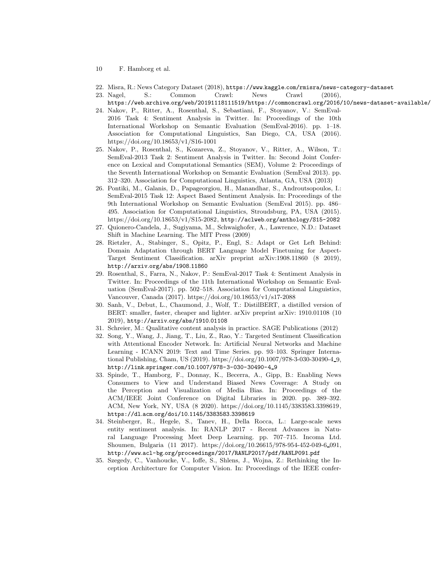- 10 F. Hamborg et al.
- <span id="page-9-9"></span><span id="page-9-7"></span>22. Misra, R.: News Category Dataset (2018), https://www.kaggle.[com/rmisra/news-category-dataset](https://www.kaggle.com/rmisra/news-category-dataset)
- <span id="page-9-2"></span>23. Nagel, S.: Common Crawl: News Crawl (2016), https://web.archive.[org/web/20191118111519/https://commoncrawl](https://web.archive.org/web/20191118111519/https://commoncrawl.org/2016/10/news-dataset-available/).org/2016/10/news-dataset-available/
- 24. Nakov, P., Ritter, A., Rosenthal, S., Sebastiani, F., Stoyanov, V.: SemEval-2016 Task 4: Sentiment Analysis in Twitter. In: Proceedings of the 10th International Workshop on Semantic Evaluation (SemEval-2016). pp. 1–18. Association for Computational Linguistics, San Diego, CA, USA (2016). <https://doi.org/10.18653/v1/S16-1001>
- <span id="page-9-10"></span>25. Nakov, P., Rosenthal, S., Kozareva, Z., Stoyanov, V., Ritter, A., Wilson, T.: SemEval-2013 Task 2: Sentiment Analysis in Twitter. In: Second Joint Conference on Lexical and Computational Semantics (SEM), Volume 2: Proceedings of the Seventh International Workshop on Semantic Evaluation (SemEval 2013). pp. 312–320. Association for Computational Linguistics, Atlanta, GA, USA (2013)
- <span id="page-9-1"></span>26. Pontiki, M., Galanis, D., Papageorgiou, H., Manandhar, S., Androutsopoulos, I.: SemEval-2015 Task 12: Aspect Based Sentiment Analysis. In: Proceedings of the 9th International Workshop on Semantic Evaluation (SemEval 2015). pp. 486– 495. Association for Computational Linguistics, Stroudsburg, PA, USA (2015). [https://doi.org/10.18653/v1/S15-2082,](https://doi.org/10.18653/v1/S15-2082) http://aclweb.[org/anthology/S15-2082](http://aclweb.org/anthology/S15-2082)
- <span id="page-9-11"></span>27. Quionero-Candela, J., Sugiyama, M., Schwaighofer, A., Lawrence, N.D.: Dataset Shift in Machine Learning. The MIT Press (2009)
- <span id="page-9-4"></span>28. Rietzler, A., Stabinger, S., Opitz, P., Engl, S.: Adapt or Get Left Behind: Domain Adaptation through BERT Language Model Finetuning for Aspect-Target Sentiment Classification. arXiv preprint arXiv:1908.11860 (8 2019), http://arxiv.[org/abs/1908](http://arxiv.org/abs/1908.11860).11860
- <span id="page-9-0"></span>29. Rosenthal, S., Farra, N., Nakov, P.: SemEval-2017 Task 4: Sentiment Analysis in Twitter. In: Proceedings of the 11th International Workshop on Semantic Evaluation (SemEval-2017). pp. 502–518. Association for Computational Linguistics, Vancouver, Canada (2017).<https://doi.org/10.18653/v1/s17-2088>
- <span id="page-9-8"></span>30. Sanh, V., Debut, L., Chaumond, J., Wolf, T.: DistilBERT, a distilled version of BERT: smaller, faster, cheaper and lighter. arXiv preprint arXiv: 1910.01108 (10 2019), [http://arxiv](http://arxiv.org/abs/1910.01108).org/abs/1910.01108
- <span id="page-9-5"></span><span id="page-9-3"></span>31. Schreier, M.: Qualitative content analysis in practice. SAGE Publications (2012)
- 32. Song, Y., Wang, J., Jiang, T., Liu, Z., Rao, Y.: Targeted Sentiment Classification with Attentional Encoder Network. In: Artificial Neural Networks and Machine Learning - ICANN 2019: Text and Time Series. pp. 93–103. Springer International Publishing, Cham, US (2019). [https://doi.org/10.1007/978-3-030-30490-4](https://doi.org/10.1007/978-3-030-30490-4{_}9) 9, http://link.springer.com/10.[1007/978-3-030-30490-4](http://link.springer.com/10.1007/978-3-030-30490-4_9) 9
- <span id="page-9-13"></span>33. Spinde, T., Hamborg, F., Donnay, K., Becerra, A., Gipp, B.: Enabling News Consumers to View and Understand Biased News Coverage: A Study on the Perception and Visualization of Media Bias. In: Proceedings of the ACM/IEEE Joint Conference on Digital Libraries in 2020. pp. 389–392. ACM, New York, NY, USA (8 2020). [https://doi.org/10.1145/3383583.3398619,](https://doi.org/10.1145/3383583.3398619) https://dl.acm.org/doi/10.[1145/3383583](https://dl.acm.org/doi/10.1145/3383583.3398619).3398619
- <span id="page-9-6"></span>34. Steinberger, R., Hegele, S., Tanev, H., Della Rocca, L.: Large-scale news entity sentiment analysis. In: RANLP 2017 - Recent Advances in Natural Language Processing Meet Deep Learning. pp. 707–715. Incoma Ltd. Shoumen, Bulgaria (11 2017). [https://doi.org/10.26615/978-954-452-049-6](https://doi.org/10.26615/978-954-452-049-6{_}091) 091, http://www.acl-bg.[org/proceedings/2017/RANLP2017/pdf/RANLP091](http://www.acl-bg.org/proceedings/2017/RANLP 2017/pdf/RANLP091.pdf).pdf
- <span id="page-9-12"></span>35. Szegedy, C., Vanhoucke, V., Ioffe, S., Shlens, J., Wojna, Z.: Rethinking the Inception Architecture for Computer Vision. In: Proceedings of the IEEE confer-